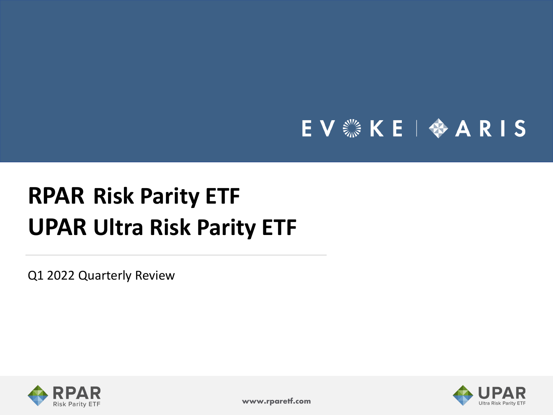# EV & KE | � ARIS

# **RPAR Risk Parity ETF UPAR Ultra Risk Parity ETF**

Q1 2022 Quarterly Review





**www.rparetf.com**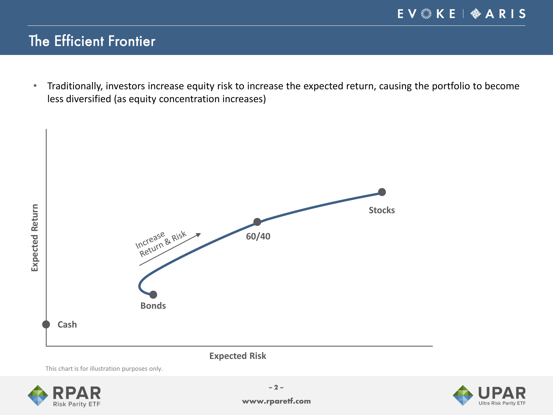# The Efficient Frontier

• Traditionally, investors increase equity risk to increase the expected return, causing the portfolio to become less diversified (as equity concentration increases)



**Expected Risk**

This chart is for illustration purposes only.



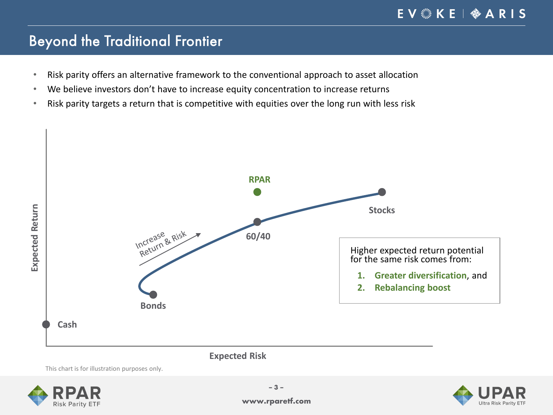# Beyond the Traditional Frontier

- Risk parity offers an alternative framework to the conventional approach to asset allocation
- We believe investors don't have to increase equity concentration to increase returns
- Risk parity targets a return that is competitive with equities over the long run with less risk



**Expected Risk**

This chart is for illustration purposes only.



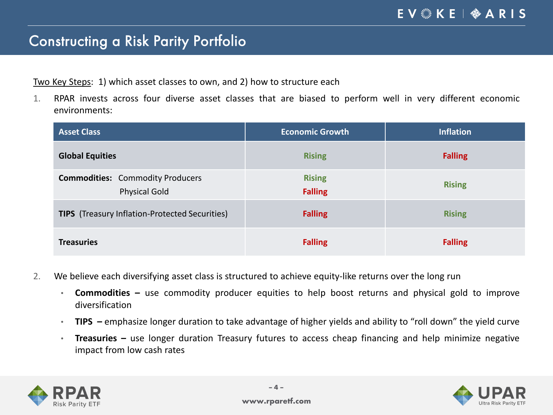### Constructing a Risk Parity Portfolio

Two Key Steps: 1) which asset classes to own, and 2) how to structure each

1. RPAR invests across four diverse asset classes that are biased to perform well in very different economic environments:

| <b>Asset Class</b>                                              | <b>Economic Growth</b>          | <b>Inflation</b> |
|-----------------------------------------------------------------|---------------------------------|------------------|
| <b>Global Equities</b>                                          | <b>Rising</b>                   | <b>Falling</b>   |
| <b>Commodities:</b> Commodity Producers<br><b>Physical Gold</b> | <b>Rising</b><br><b>Falling</b> | <b>Rising</b>    |
| <b>TIPS</b> (Treasury Inflation-Protected Securities)           | <b>Falling</b>                  | <b>Rising</b>    |
| <b>Treasuries</b>                                               | <b>Falling</b>                  | <b>Falling</b>   |

- 2. We believe each diversifying asset class is structured to achieve equity-like returns over the long run
	- **Commodities –** use commodity producer equities to help boost returns and physical gold to improve diversification
	- **TIPS –** emphasize longer duration to take advantage of higher yields and ability to "roll down" the yield curve
	- **Treasuries –** use longer duration Treasury futures to access cheap financing and help minimize negative impact from low cash rates



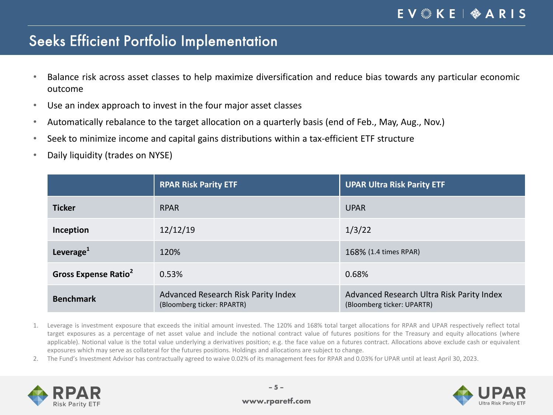### Seeks Efficient Portfolio Implementation

- Balance risk across asset classes to help maximize diversification and reduce bias towards any particular economic outcome
- Use an index approach to invest in the four major asset classes
- Automatically rebalance to the target allocation on a quarterly basis (end of Feb., May, Aug., Nov.)
- Seek to minimize income and capital gains distributions within a tax-efficient ETF structure
- Daily liquidity (trades on NYSE)

|                                  | <b>RPAR Risk Parity ETF</b>                                       | <b>UPAR Ultra Risk Parity ETF</b>                                       |
|----------------------------------|-------------------------------------------------------------------|-------------------------------------------------------------------------|
| <b>Ticker</b>                    | <b>RPAR</b>                                                       | <b>UPAR</b>                                                             |
| Inception                        | 12/12/19                                                          | 1/3/22                                                                  |
| Leverage <sup>1</sup>            | 120%                                                              | 168% (1.4 times RPAR)                                                   |
| Gross Expense Ratio <sup>2</sup> | 0.53%                                                             | 0.68%                                                                   |
| <b>Benchmark</b>                 | Advanced Research Risk Parity Index<br>(Bloomberg ticker: RPARTR) | Advanced Research Ultra Risk Parity Index<br>(Bloomberg ticker: UPARTR) |

- 1. Leverage is investment exposure that exceeds the initial amount invested. The 120% and 168% total target allocations for RPAR and UPAR respectively reflect total target exposures as a percentage of net asset value and include the notional contract value of futures positions for the Treasury and equity allocations (where applicable). Notional value is the total value underlying a derivatives position; e.g. the face value on a futures contract. Allocations above exclude cash or equivalent exposures which may serve as collateral for the futures positions. Holdings and allocations are subject to change.
- 2. The Fund's Investment Advisor has contractually agreed to waive 0.02% of its management fees for RPAR and 0.03% for UPAR until at least April 30, 2023.





#### **www.rparetf.com**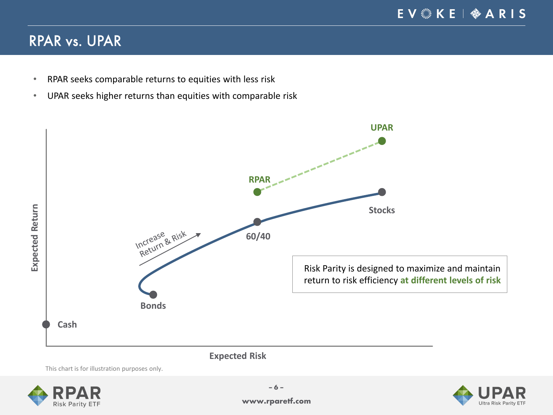# RPAR vs. UPAR

- RPAR seeks comparable returns to equities with less risk
- UPAR seeks higher returns than equities with comparable risk



This chart is for illustration purposes only.



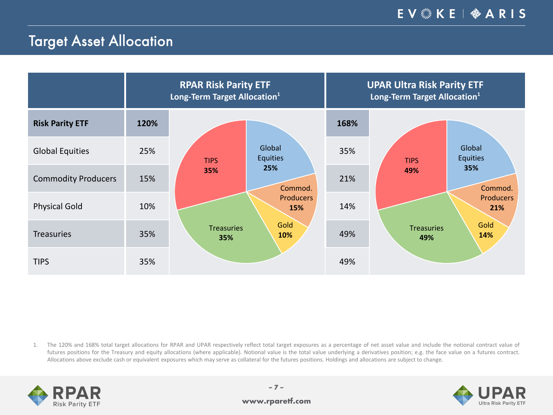# Target Asset Allocation

|                            |      | <b>RPAR Risk Parity ETF</b><br>Long-Term Target Allocation <sup>1</sup> |                         | <b>UPAR Ultra Risk Parity ETF</b><br>Long-Term Target Allocation <sup>1</sup> |                                          |  |  |  |
|----------------------------|------|-------------------------------------------------------------------------|-------------------------|-------------------------------------------------------------------------------|------------------------------------------|--|--|--|
| <b>Risk Parity ETF</b>     | 120% |                                                                         |                         | 168%                                                                          |                                          |  |  |  |
| <b>Global Equities</b>     | 25%  | <b>TIPS</b>                                                             | Global<br>Equities      | 35%                                                                           | Global<br><b>Equities</b><br><b>TIPS</b> |  |  |  |
| <b>Commodity Producers</b> | 15%  | 35%                                                                     | 25%<br>Commod.          | 21%                                                                           | 35%<br>49%<br>Commod.                    |  |  |  |
| <b>Physical Gold</b>       | 10%  |                                                                         | <b>Producers</b><br>15% | 14%                                                                           | <b>Producers</b><br>21%                  |  |  |  |
| <b>Treasuries</b>          | 35%  | <b>Treasuries</b><br>35%                                                | Gold<br>10%             | 49%                                                                           | Gold<br><b>Treasuries</b><br>14%<br>49%  |  |  |  |
| <b>TIPS</b>                | 35%  |                                                                         |                         | 49%                                                                           |                                          |  |  |  |

1. The 120% and 168% total target allocations for RPAR and UPAR respectively reflect total target exposures as a percentage of net asset value and include the notional contract value of futures positions for the Treasury and equity allocations (where applicable). Notional value is the total value underlying a derivatives position; e.g. the face value on a futures contract. Allocations above exclude cash or equivalent exposures which may serve as collateral for the futures positions. Holdings and allocations are subject to change.



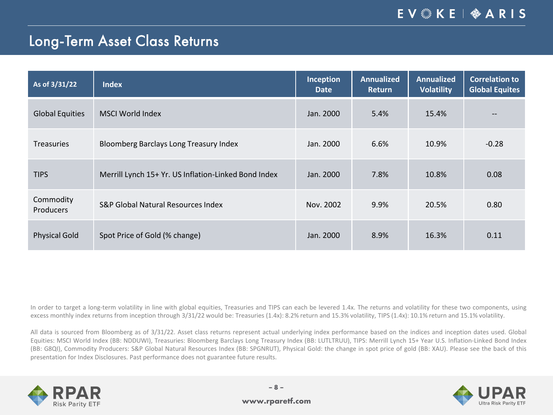### Long-Term Asset Class Returns

| As of 3/31/22                 | <b>Index</b>                                         | Inception<br><b>Date</b> | <b>Annualized</b><br><b>Return</b> | <b>Annualized</b><br><b>Volatility</b> | <b>Correlation to</b><br><b>Global Equites</b> |
|-------------------------------|------------------------------------------------------|--------------------------|------------------------------------|----------------------------------------|------------------------------------------------|
| <b>Global Equities</b>        | <b>MSCI World Index</b>                              | Jan. 2000                | 5.4%                               | 15.4%                                  | --                                             |
| <b>Treasuries</b>             | Bloomberg Barclays Long Treasury Index               | Jan. 2000                | 6.6%                               | 10.9%                                  | $-0.28$                                        |
| <b>TIPS</b>                   | Merrill Lynch 15+ Yr. US Inflation-Linked Bond Index | Jan. 2000                | 7.8%                               | 10.8%                                  | 0.08                                           |
| Commodity<br><b>Producers</b> | <b>S&amp;P Global Natural Resources Index</b>        | Nov. 2002                | 9.9%                               | 20.5%                                  | 0.80                                           |
| <b>Physical Gold</b>          | Spot Price of Gold (% change)                        | Jan. 2000                | 8.9%                               | 16.3%                                  | 0.11                                           |

In order to target a long-term volatility in line with global equities, Treasuries and TIPS can each be levered 1.4x. The returns and volatility for these two components, using excess monthly index returns from inception through 3/31/22 would be: Treasuries (1.4x): 8.2% return and 15.3% volatility, TIPS (1.4x): 10.1% return and 15.1% volatility.

All data is sourced from Bloomberg as of 3/31/22. Asset class returns represent actual underlying index performance based on the indices and inception dates used. Global Equities: MSCI World Index (BB: NDDUWI), Treasuries: Bloomberg Barclays Long Treasury Index (BB: LUTLTRUU), TIPS: Merrill Lynch 15+ Year U.S. Inflation-Linked Bond Index (BB: G8QI), Commodity Producers: S&P Global Natural Resources Index (BB: SPGNRUT), Physical Gold: the change in spot price of gold (BB: XAU). Please see the back of this presentation for Index Disclosures. Past performance does not guarantee future results.



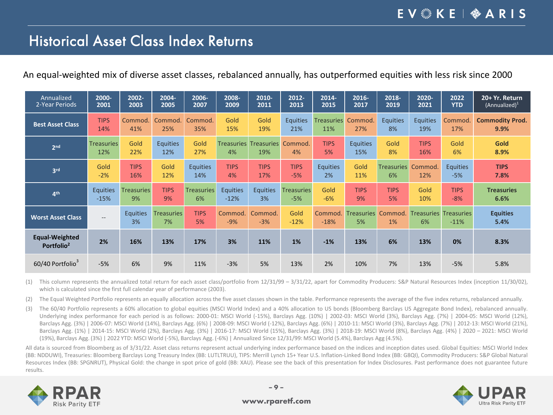#### EV & KE | � ARIS

### Historical Asset Class Index Returns

An equal-weighted mix of diverse asset classes, rebalanced annually, has outperformed equities with less risk since 2000

| Annualized                               | 2000-                    | 2002-                 | 2004-                   | 2006-             | 2008-            | 2010-                               | 2012-             | 2014-             | 2016-                   | 2018-             | 2020-                              | 2022            | 20+ Yr. Return          |
|------------------------------------------|--------------------------|-----------------------|-------------------------|-------------------|------------------|-------------------------------------|-------------------|-------------------|-------------------------|-------------------|------------------------------------|-----------------|-------------------------|
| 2-Year Periods                           | 2001                     | 2003                  | 2005                    | 2007              | 2009             | 2011                                | 2013              | 2015              | 2017                    | 2019              | 2021                               | <b>YTD</b>      | $(Annualized)^1$        |
| <b>Best Asset Class</b>                  | <b>TIPS</b>              | Commod.               | Commod.                 | Commod.           | Gold             | Gold                                | <b>Equities</b>   | <b>Treasuries</b> | Commod.                 | <b>Equities</b>   | <b>Equities</b>                    | Commod.         | <b>Commodity Prod.</b>  |
|                                          | 14%                      | 41%                   | 25%                     | 35%               | 15%              | 19%                                 | 21%               | 11%               | 27%                     | 8%                | 19%                                | 17%             | 9.9%                    |
| 2 <sub>nd</sub>                          | <b>Treasuries</b><br>12% | Gold<br>22%           | <b>Equities</b><br>12%  | Gold<br>27%       | 4%               | <b>Treasuries Treasuries</b><br>19% | Commod.<br>4%     | <b>TIPS</b><br>5% | <b>Equities</b><br>15%  | Gold<br>8%        | <b>TIPS</b><br>16%                 | Gold<br>6%      | Gold<br>8.9%            |
| 3 <sup>rd</sup>                          | Gold                     | <b>TIPS</b>           | Gold                    | <b>Equities</b>   | <b>TIPS</b>      | <b>TIPS</b>                         | <b>TIPS</b>       | <b>Equities</b>   | Gold                    | <b>Treasuries</b> | Commod.                            | <b>Equities</b> | <b>TIPS</b>             |
|                                          | $-2%$                    | 16%                   | 12%                     | 14%               | 4%               | 17%                                 | $-5%$             | 2%                | 11%                     | 6%                | 12%                                | $-5%$           | 7.8%                    |
| 4 <sup>th</sup>                          | <b>Equities</b>          | <b>Treasuries</b>     | <b>TIPS</b>             | <b>Treasuries</b> | <b>Equities</b>  | <b>Equities</b>                     | <b>Treasuries</b> | Gold              | <b>TIPS</b>             | <b>TIPS</b>       | Gold                               | <b>TIPS</b>     | <b>Treasuries</b>       |
|                                          | $-15%$                   | 9%                    | 9%                      | 6%                | $-12%$           | 3%                                  | $-5%$             | $-6%$             | 9%                      | 5%                | 10%                                | $-8%$           | 6.6%                    |
| <b>Worst Asset Class</b>                 | $--$                     | <b>Equities</b><br>3% | <b>Treasuries</b><br>7% | <b>TIPS</b><br>5% | Commod.<br>$-9%$ | Commod.<br>$-3%$                    | Gold<br>$-12%$    | Commod.<br>$-18%$ | <b>Treasuries</b><br>5% | Commod.<br>1%     | <b>Treasuries Treasuries</b><br>6% | $-11%$          | <b>Equities</b><br>5.4% |
| Equal-Weighted<br>Portfolio <sup>2</sup> | 2%                       | 16%                   | 13%                     | 17%               | 3%               | 11%                                 | 1%                | $-1%$             | 13%                     | 6%                | 13%                                | 0%              | 8.3%                    |
| 60/40 Portfolio <sup>3</sup>             | $-5%$                    | 6%                    | 9%                      | 11%               | $-3%$            | 5%                                  | 13%               | 2%                | 10%                     | 7%                | 13%                                | $-5%$           | 5.8%                    |

(1) This column represents the annualized total return for each asset class/portfolio from 12/31/99 – 3/31/22, apart for Commodity Producers: S&P Natural Resources Index (inception 11/30/02), which is calculated since the first full calendar year of performance (2003).

(2) The Equal Weighted Portfolio represents an equally allocation across the five asset classes shown in the table. Performance represents the average of the five index returns, rebalanced annually.

(3) The 60/40 Portfolio represents a 60% allocation to global equities (MSCI World Index) and a 40% allocation to US bonds (Bloomberg Barclays US Aggregate Bond Index), rebalanced annually. Underlying index performance for each period is as follows: 2000-01: MSCI World (-15%), Barclays Agg. (10%) | 2002-03: MSCI World (3%), Barclays Agg. (7%) | 2004-05: MSCI World (12%), Barclays Agg. (3%) | 2006-07: MSCI World (14%), Barclays Agg. (6%) | 2008-09: MSCI World (-12%), Barclays Agg. (6%) | 2010-11: MSCI World (3%), Barclays Agg. (7%) | 2012-13: MSCI World (21%), Barclays Agg. (1%) | 2014-15: MSCI World (2%), Barclays Agg. (3%) | 2016-17: MSCI World (15%), Barclays Agg. (3%) | 2018-19: MSCI World (8%), Barclays Agg. (4%) | 2020 – 2021: MSCI World (19%), Barclays Agg. (3%) | 2022 YTD: MSCI World (-5%), Barclays Agg. (-6%) | Annualized Since 12/31/99: MSCI World (5.4%), Barclays Agg (4.5%).

All data is sourced from Bloomberg as of 3/31/22. Asset class returns represent actual underlying index performance based on the indices and inception dates used. Global Equities: MSCI World Index (BB: NDDUWI), Treasuries: Bloomberg Barclays Long Treasury Index (BB: LUTLTRUU), TIPS: Merrill Lynch 15+ Year U.S. Inflation-Linked Bond Index (BB: G8QI), Commodity Producers: S&P Global Natural Resources Index (BB: SPGNRUT), Physical Gold: the change in spot price of gold (BB: XAU). Please see the back of this presentation for Index Disclosures. Past performance does not guarantee future results.



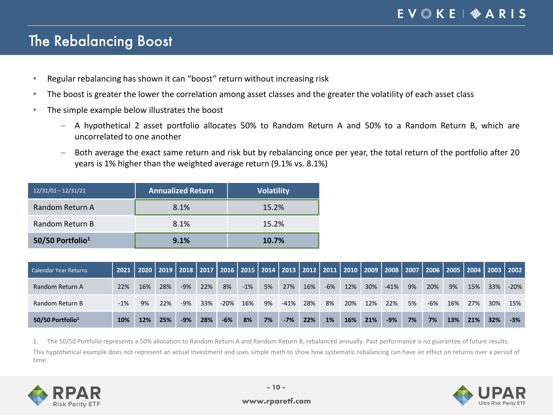### The Rebalancing Boost

- Regular rebalancing has shown it can "boost" return without increasing risk
- The boost is greater the lower the correlation among asset classes and the greater the volatility of each asset class
- The simple example below illustrates the boost
	- ─ A hypothetical 2 asset portfolio allocates 50% to Random Return A and 50% to a Random Return B, which are uncorrelated to one another
	- ─ Both average the exact same return and risk but by rebalancing once per year, the total return of the portfolio after 20 years is 1% higher than the weighted average return (9.1% vs. 8.1%)

| $12/31/01 - 12/31/21$        | <b>Annualized Return</b> | <b>Volatility</b> |
|------------------------------|--------------------------|-------------------|
| Random Return A              | 8.1%                     | 15.2%             |
| Random Return B              | 8.1%                     | 15.2%             |
| 50/50 Portfolio <sup>1</sup> | 9.1%                     | 10.7%             |

| <b>Calendar Year Returns</b> | 2021  |     | 2020   2019   2018   2017   2016   2015   2014   2013   2012   2011   2010   2009   2008   2007   2006   2005   2004   2003   2002 |       |     |        |       |    |         |     |       |     |     |        |    |       |     |     |     |        |
|------------------------------|-------|-----|------------------------------------------------------------------------------------------------------------------------------------|-------|-----|--------|-------|----|---------|-----|-------|-----|-----|--------|----|-------|-----|-----|-----|--------|
| Random Return A              | 22%   | 16% | 28%                                                                                                                                | $-9%$ | 22% | 8%     | $-1%$ | 5% | 27%     | 16% | $-6%$ | 12% | 30% | $-41%$ | 9% | 20%   | 9%  | 15% | 33% | $-20%$ |
| Random Return B              | $-1%$ | 9%  | 22%                                                                                                                                | $-9%$ | 33% | $-20%$ | 16%   | 9% | $-41\%$ | 28% | 8%    | 20% | 12% | 22%    | 5% | $-6%$ | 16% | 27% | 30% | 15%    |
| 50/50 Portfolio $1$          | 10%   | 12% | 25%                                                                                                                                | $-9%$ | 28% | $-6%$  | 8%    | 7% | $-7%$   | 22% | 1%    | 16% | 21% | $-9%$  | 7% | 7%    | 13% | 21% | 32% | $-3%$  |

1. The 50/50 Portfolio represents a 50% allocation to Random Return A and Random Return B, rebalanced annually. Past performance is no guarantee of future results.

This hypothetical example does not represent an actual investment and uses simple math to show how systematic rebalancing can have an effect on returns over a period of time.



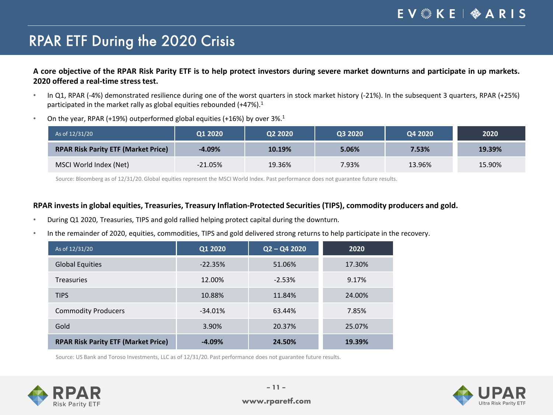#### EV & KE | � A R I S

# RPAR ETF During the 2020 Crisis

A core objective of the RPAR Risk Parity ETF is to help protect investors during severe market downturns and participate in up markets. **2020 offered a real-time stress test.**

- In Q1, RPAR (-4%) demonstrated resilience during one of the worst quarters in stock market history (-21%). In the subsequent 3 quarters, RPAR (+25%) participated in the market rally as global equities rebounded (+47%).<sup>1</sup>
- On the year, RPAR (+19%) outperformed global equities (+16%) by over  $3\%$ .<sup>1</sup>

| As of 12/31/20                             | Q1 2020    | Q2 2020 | Q3 2020 | Q4 2020 | 2020   |
|--------------------------------------------|------------|---------|---------|---------|--------|
| <b>RPAR Risk Parity ETF (Market Price)</b> | $-4.09\%$  | 10.19%  | 5.06%   | 7.53%   | 19.39% |
| MSCI World Index (Net)                     | $-21.05\%$ | 19.36%  | 7.93%   | 13.96%  | 15.90% |

Source: Bloomberg as of 12/31/20. Global equities represent the MSCI World Index. Past performance does not guarantee future results.

#### **RPAR invests in global equities, Treasuries, Treasury Inflation-Protected Securities (TIPS), commodity producers and gold.**

- During Q1 2020, Treasuries, TIPS and gold rallied helping protect capital during the downturn.
- In the remainder of 2020, equities, commodities, TIPS and gold delivered strong returns to help participate in the recovery.

| As of 12/31/20                             | Q1 2020   | $Q2 - Q4 2020$ | 2020   |
|--------------------------------------------|-----------|----------------|--------|
| <b>Global Equities</b>                     | $-22.35%$ | 51.06%         | 17.30% |
| <b>Treasuries</b>                          | 12.00%    | $-2.53%$       | 9.17%  |
| <b>TIPS</b>                                | 10.88%    | 11.84%         | 24.00% |
| <b>Commodity Producers</b>                 | $-34.01%$ | 63.44%         | 7.85%  |
| Gold                                       | 3.90%     | 20.37%         | 25.07% |
| <b>RPAR Risk Parity ETF (Market Price)</b> | $-4.09%$  | 24.50%         | 19.39% |

Source: US Bank and Toroso Investments, LLC as of 12/31/20. Past performance does not guarantee future results.



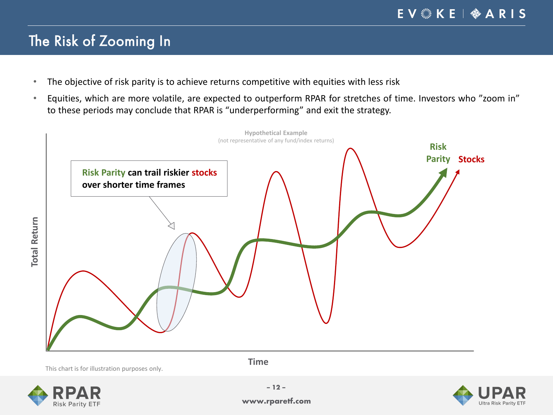# The Risk of Zooming In

- The objective of risk parity is to achieve returns competitive with equities with less risk
- Equities, which are more volatile, are expected to outperform RPAR for stretches of time. Investors who "zoom in" to these periods may conclude that RPAR is "underperforming" and exit the strategy.



This chart is for illustration purposes only.

**Time**





**www.rparetf.com**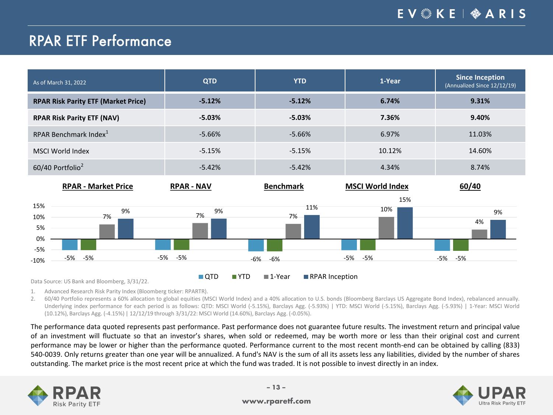### RPAR ETF Performance

| As of March 31, 2022                       | <b>QTD</b>        | <b>YTD</b>       | 1-Year                  | <b>Since Inception</b><br>(Annualized Since 12/12/19) |  |
|--------------------------------------------|-------------------|------------------|-------------------------|-------------------------------------------------------|--|
| <b>RPAR Risk Parity ETF (Market Price)</b> | $-5.12%$          | $-5.12%$         | 6.74%                   | 9.31%                                                 |  |
| <b>RPAR Risk Parity ETF (NAV)</b>          | $-5.03\%$         | $-5.03%$         | 7.36%                   | 9.40%                                                 |  |
| RPAR Benchmark Index <sup>1</sup>          | $-5.66%$          | $-5.66%$         | 6.97%                   | 11.03%                                                |  |
| <b>MSCI World Index</b>                    | $-5.15%$          | $-5.15%$         | 10.12%                  | 14.60%                                                |  |
| 60/40 Portfolio <sup>2</sup>               | $-5.42%$          | $-5.42%$         | 4.34%                   | 8.74%                                                 |  |
| <b>RPAR - Market Price</b>                 | <b>RPAR - NAV</b> | <b>Benchmark</b> | <b>MSCI World Index</b> | 60/40                                                 |  |
| 15%<br>9%<br>7%<br>10%                     | 9%<br>7%          | 11%<br>7%        | 15%<br>10%              | 9%                                                    |  |
| 5%<br>0%                                   |                   |                  |                         | 4%                                                    |  |

Data Source: US Bank and Bloomberg, 3/31/22. **The US Arrow COVID III YTD III 1-Year III RPAR Inception** 

-5% -5% -5% -5% -6% -6% -5% -5% -5% -5%

1. Advanced Research Risk Parity Index (Bloomberg ticker: RPARTR).

2. 60/40 Portfolio represents a 60% allocation to global equities (MSCI World Index) and a 40% allocation to U.S. bonds (Bloomberg Barclays US Aggregate Bond Index), rebalanced annually. Underlying index performance for each period is as follows: QTD: MSCI World (-5.15%), Barclays Agg. (-5.93%) | YTD: MSCI World (-5.15%), Barclays Agg. (-5.93%) | 1-Year: MSCI World (10.12%), Barclays Agg. (-4.15%) | 12/12/19 through 3/31/22: MSCI World (14.60%), Barclays Agg. (-0.05%).

The performance data quoted represents past performance. Past performance does not guarantee future results. The investment return and principal value of an investment will fluctuate so that an investor's shares, when sold or redeemed, may be worth more or less than their original cost and current performance may be lower or higher than the performance quoted. Performance current to the most recent month-end can be obtained by calling (833) 540-0039. Only returns greater than one year will be annualized. A fund's NAV is the sum of all its assets less any liabilities, divided by the number of shares outstanding. The market price is the most recent price at which the fund was traded. It is not possible to invest directly in an index.



-10% -5%

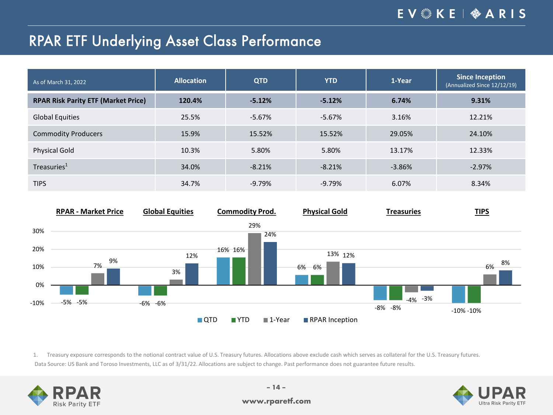#### EV & KE | � A R I S

### RPAR ETF Underlying Asset Class Performance

| As of March 31, 2022                       | <b>Allocation</b> | <b>QTD</b> | <b>YTD</b> | 1-Year   | <b>Since Inception</b><br>(Annualized Since 12/12/19) |
|--------------------------------------------|-------------------|------------|------------|----------|-------------------------------------------------------|
| <b>RPAR Risk Parity ETF (Market Price)</b> | 120.4%            | $-5.12%$   | $-5.12%$   | 6.74%    | 9.31%                                                 |
| <b>Global Equities</b>                     | 25.5%             | $-5.67%$   | $-5.67%$   | 3.16%    | 12.21%                                                |
| <b>Commodity Producers</b>                 | 15.9%             | 15.52%     | 15.52%     | 29.05%   | 24.10%                                                |
| <b>Physical Gold</b>                       | 10.3%             | 5.80%      | 5.80%      | 13.17%   | 12.33%                                                |
| Treasuries <sup>1</sup>                    | 34.0%             | $-8.21%$   | $-8.21%$   | $-3.86%$ | $-2.97%$                                              |
| <b>TIPS</b>                                | 34.7%             | $-9.79%$   | $-9.79%$   | 6.07%    | 8.34%                                                 |



1. Treasury exposure corresponds to the notional contract value of U.S. Treasury futures. Allocations above exclude cash which serves as collateral for the U.S. Treasury futures. Data Source: US Bank and Toroso Investments, LLC as of 3/31/22. Allocations are subject to change. Past performance does not guarantee future results.



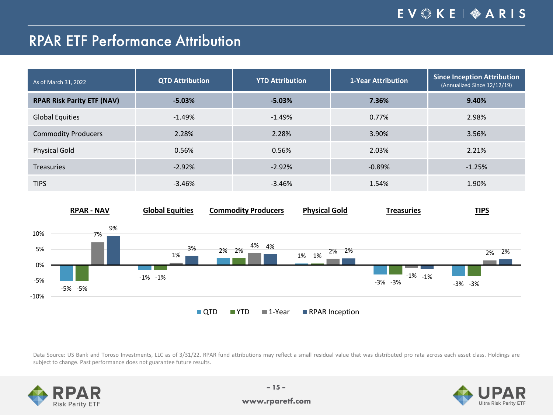# RPAR ETF Performance Attribution

| As of March 31, 2022              | <b>QTD Attribution</b> | <b>YTD Attribution</b> | <b>1-Year Attribution</b> | Since Inception Attribution<br>(Annualized Since 12/12/19) |
|-----------------------------------|------------------------|------------------------|---------------------------|------------------------------------------------------------|
| <b>RPAR Risk Parity ETF (NAV)</b> | $-5.03\%$              | $-5.03%$               | 7.36%                     | 9.40%                                                      |
| <b>Global Equities</b>            | $-1.49%$               | $-1.49%$               | 0.77%                     | 2.98%                                                      |
| <b>Commodity Producers</b>        | 2.28%                  | 2.28%                  | 3.90%                     | 3.56%                                                      |
| <b>Physical Gold</b>              | 0.56%                  | 0.56%                  | 2.03%                     | 2.21%                                                      |
| <b>Treasuries</b>                 | $-2.92%$               | $-2.92%$               | $-0.89%$                  | $-1.25%$                                                   |
| <b>TIPS</b>                       | $-3.46%$               | $-3.46%$               | 1.54%                     | 1.90%                                                      |



Data Source: US Bank and Toroso Investments, LLC as of 3/31/22. RPAR fund attributions may reflect a small residual value that was distributed pro rata across each asset class. Holdings are subject to change. Past performance does not guarantee future results.



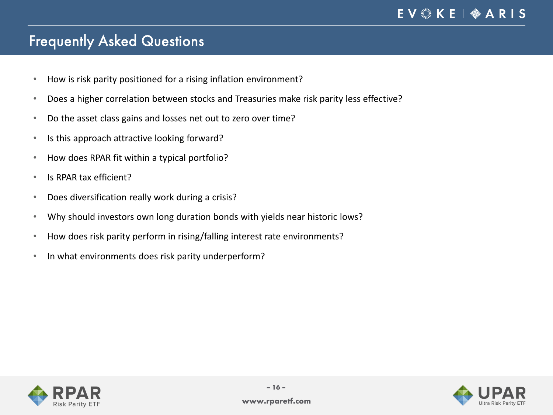# Frequently Asked Questions

- How is risk parity positioned for a rising inflation environment?
- Does a higher correlation between stocks and Treasuries make risk parity less effective?
- Do the asset class gains and losses net out to zero over time?
- Is this approach attractive looking forward?
- How does RPAR fit within a typical portfolio?
- Is RPAR tax efficient?
- Does diversification really work during a crisis?
- Why should investors own long duration bonds with yields near historic lows?
- How does risk parity perform in rising/falling interest rate environments?
- In what environments does risk parity underperform?



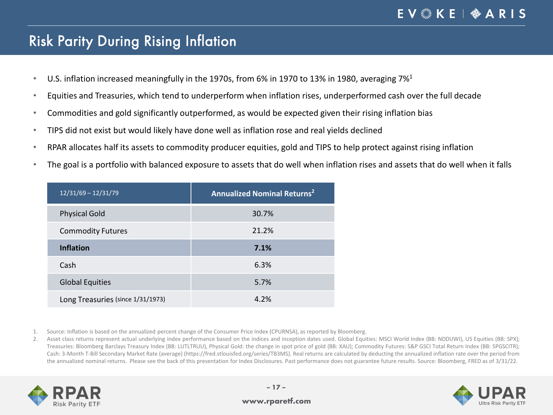### Risk Parity During Rising Inflation

- U.S. inflation increased meaningfully in the 1970s, from 6% in 1970 to 13% in 1980, averaging 7%<sup>1</sup>
- Equities and Treasuries, which tend to underperform when inflation rises, underperformed cash over the full decade
- Commodities and gold significantly outperformed, as would be expected given their rising inflation bias
- TIPS did not exist but would likely have done well as inflation rose and real yields declined
- RPAR allocates half its assets to commodity producer equities, gold and TIPS to help protect against rising inflation
- The goal is a portfolio with balanced exposure to assets that do well when inflation rises and assets that do well when it falls

| $12/31/69 - 12/31/79$             | <b>Annualized Nominal Returns<sup>2</sup></b> |
|-----------------------------------|-----------------------------------------------|
| <b>Physical Gold</b>              | 30.7%                                         |
| <b>Commodity Futures</b>          | 21.2%                                         |
| <b>Inflation</b>                  | 7.1%                                          |
| Cash                              | 6.3%                                          |
| <b>Global Equities</b>            | 5.7%                                          |
| Long Treasuries (since 1/31/1973) | 4.2%                                          |

1. Source: Inflation is based on the annualized percent change of the Consumer Price Index (CPURNSA), as reported by Bloomberg.

2. Asset class returns represent actual underlying index performance based on the indices and inception dates used. Global Equities: MSCI World Index (BB: NDDUWI), US Equities (BB: SPX); Treasuries: Bloomberg Barclays Treasury Index (BB: LUTLTRUU), Physical Gold: the change in spot price of gold (BB: XAU); Commodity Futures: S&P GSCI Total Return Index (BB: SPGSCITR); Cash: 3-Month T-Bill Secondary Market Rate (average) (https://fred.stlouisfed.org/series/TB3MS). Real returns are calculated by deducting the annualized inflation rate over the period from the annualized nominal returns. Please see the back of this presentation for Index Disclosures. Past performance does not guarantee future results. Source: Bloomberg, FRED as of 3/31/22.



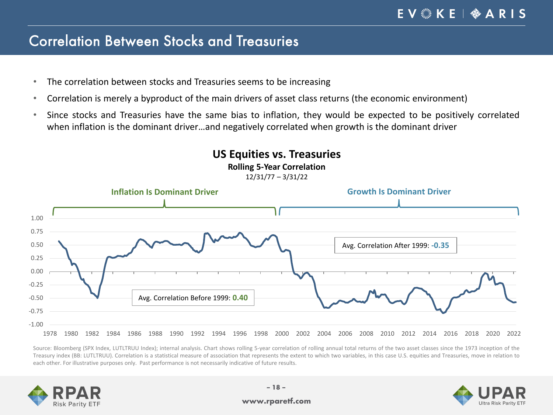#### Correlation Between Stocks and Treasuries

- The correlation between stocks and Treasuries seems to be increasing
- Correlation is merely a byproduct of the main drivers of asset class returns (the economic environment)
- Since stocks and Treasuries have the same bias to inflation, they would be expected to be positively correlated when inflation is the dominant driver…and negatively correlated when growth is the dominant driver

**US Equities vs. Treasuries Rolling 5-Year Correlation**



Source: Bloomberg (SPX Index, LUTLTRUU Index); internal analysis. Chart shows rolling 5-year correlation of rolling annual total returns of the two asset classes since the 1973 inception of the Treasury index (BB: LUTLTRUU). Correlation is a statistical measure of association that represents the extent to which two variables, in this case U.S. equities and Treasuries, move in relation to each other. For illustrative purposes only. Past performance is not necessarily indicative of future results.





#### **www.rparetf.com**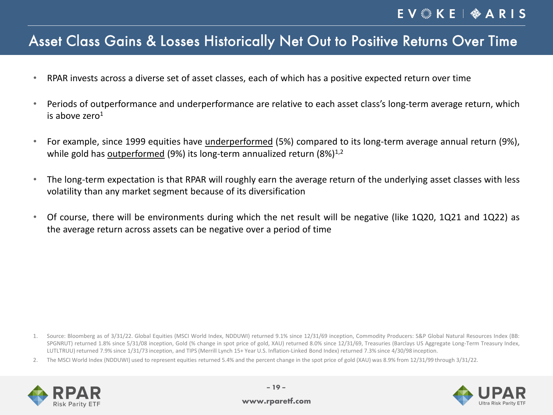#### Asset Class Gains & Losses Historically Net Out to Positive Returns Over Time

- RPAR invests across a diverse set of asset classes, each of which has a positive expected return over time
- Periods of outperformance and underperformance are relative to each asset class's long-term average return, which is above zero $1$
- For example, since 1999 equities have underperformed (5%) compared to its long-term average annual return (9%), while gold has outperformed (9%) its long-term annualized return  $(8\%)^{1,2}$
- The long-term expectation is that RPAR will roughly earn the average return of the underlying asset classes with less volatility than any market segment because of its diversification
- Of course, there will be environments during which the net result will be negative (like 1Q20, 1Q21 and 1Q22) as the average return across assets can be negative over a period of time

2. The MSCI World Index (NDDUWI) used to represent equities returned 5.4% and the percent change in the spot price of gold (XAU) was 8.9% from 12/31/99 through 3/31/22.





<sup>1.</sup> Source: Bloomberg as of 3/31/22. Global Equities (MSCI World Index, NDDUWI) returned 9.1% since 12/31/69 inception, Commodity Producers: S&P Global Natural Resources Index (BB: SPGNRUT) returned 1.8% since 5/31/08 inception, Gold (% change in spot price of gold, XAU) returned 8.0% since 12/31/69, Treasuries (Barclays US Aggregate Long-Term Treasury Index, LUTLTRUU) returned 7.9% since 1/31/73 inception, and TIPS (Merrill Lynch 15+ Year U.S. Inflation-Linked Bond Index) returned 7.3% since 4/30/98 inception.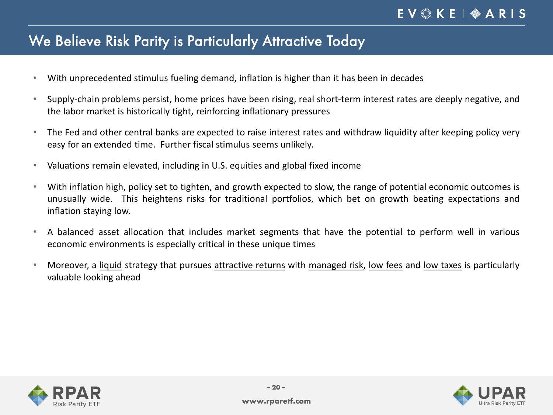### We Believe Risk Parity is Particularly Attractive Today

- With unprecedented stimulus fueling demand, inflation is higher than it has been in decades
- Supply-chain problems persist, home prices have been rising, real short-term interest rates are deeply negative, and the labor market is historically tight, reinforcing inflationary pressures
- The Fed and other central banks are expected to raise interest rates and withdraw liquidity after keeping policy very easy for an extended time. Further fiscal stimulus seems unlikely.
- Valuations remain elevated, including in U.S. equities and global fixed income
- With inflation high, policy set to tighten, and growth expected to slow, the range of potential economic outcomes is unusually wide. This heightens risks for traditional portfolios, which bet on growth beating expectations and inflation staying low.
- A balanced asset allocation that includes market segments that have the potential to perform well in various economic environments is especially critical in these unique times
- Moreover, a liquid strategy that pursues attractive returns with managed risk, low fees and low taxes is particularly valuable looking ahead



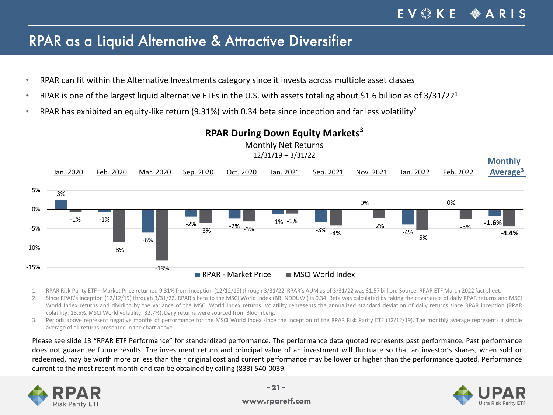#### RPAR as a Liquid Alternative & Attractive Diversifier

- RPAR can fit within the Alternative Investments category since it invests across multiple asset classes
- RPAR is one of the largest liquid alternative ETFs in the U.S. with assets totaling about \$1.6 billion as of  $3/31/22<sup>1</sup>$
- RPAR has exhibited an equity-like return (9.31%) with 0.34 beta since inception and far less volatility<sup>2</sup>



#### **RPAR During Down Equity Markets<sup>3</sup>**

1. RPAR Risk Parity ETF – Market Price returned 9.31% from inception (12/12/19)through 3/31/22. RPAR's AUM as of 3/31/22 was \$1.57 billion. Source: RPAR ETF March 2022 fact sheet.

2. Since RPAR's inception (12/12/19) through 3/31/22, RPAR's beta to the MSCI World Index (BB: NDDUWI) is 0.34. Beta was calculated by taking the covariance of daily RPAR returns and MSCI World Index returns and dividing by the variance of the MSCI World Index returns. Volatility represents the annualized standard deviation of daily returns since RPAR inception (RPAR volatility: 18.5%, MSCI World volatility: 32.7%). Daily returns were sourced from Bloomberg.

3. Periods above represent negative months of performance for the MSCI World Index since the inception of the RPAR Risk Parity ETF (12/12/19). The monthly average represents a simple average of all returns presented in the chart above.

Please see slide 13 "RPAR ETF Performance" for standardized performance. The performance data quoted represents past performance. Past performance does not guarantee future results. The investment return and principal value of an investment will fluctuate so that an investor's shares, when sold or redeemed, may be worth more or less than their original cost and current performance may be lower or higher than the performance quoted. Performance current to the most recent month-end can be obtained by calling (833) 540-0039.



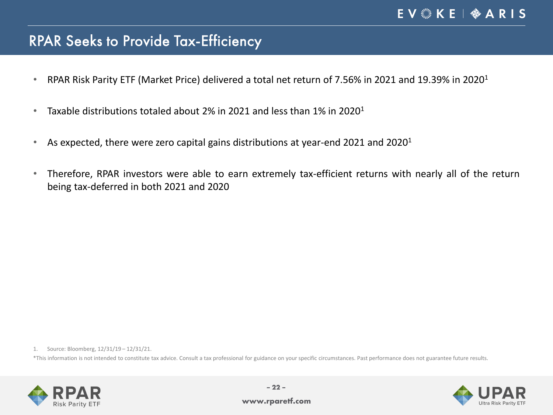### RPAR Seeks to Provide Tax-Efficiency

- RPAR Risk Parity ETF (Market Price) delivered a total net return of 7.56% in 2021 and 19.39% in 2020<sup>1</sup>
- Taxable distributions totaled about 2% in 2021 and less than 1% in 2020<sup>1</sup>
- As expected, there were zero capital gains distributions at year-end 2021 and 2020<sup>1</sup>
- Therefore, RPAR investors were able to earn extremely tax-efficient returns with nearly all of the return being tax-deferred in both 2021 and 2020

1. Source: Bloomberg, 12/31/19 – 12/31/21.

\*This information is not intended to constitute tax advice. Consult a tax professional for guidance on your specific circumstances. Past performance does not guarantee future results.



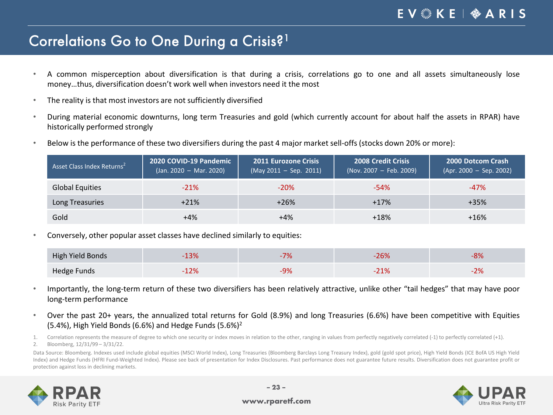#### Correlations Go to One During a Crisis?1

- A common misperception about diversification is that during a crisis, correlations go to one and all assets simultaneously lose money…thus, diversification doesn't work well when investors need it the most
- The reality is that most investors are not sufficiently diversified
- During material economic downturns, long term Treasuries and gold (which currently account for about half the assets in RPAR) have historically performed strongly
- Below is the performance of these two diversifiers during the past 4 major market sell-offs (stocks down 20% or more):

| Asset Class Index Returns <sup>2</sup> | 2020 COVID-19 Pandemic<br>$($ Jan. 2020 – Mar. 2020) | <b>2011 Eurozone Crisis</b><br>$(May 2011 - Sep. 2011)$ | <b>2008 Credit Crisis</b><br>(Nov. 2007 - Feb. 2009) | <b>2000 Dotcom Crash</b><br>$(Apr. 2000 - Sep. 2002)$ |
|----------------------------------------|------------------------------------------------------|---------------------------------------------------------|------------------------------------------------------|-------------------------------------------------------|
| <b>Global Equities</b>                 | $-21%$                                               | $-20%$                                                  | $-54%$                                               | $-47%$                                                |
| Long Treasuries                        | $+21%$                                               | $+26%$                                                  | $+17%$                                               | $+35%$                                                |
| Gold                                   | $+4%$                                                | +4%                                                     | $+18%$                                               | $+16%$                                                |

• Conversely, other popular asset classes have declined similarly to equities:

| High Yield Bonds | 13%           |                 | ⁄ חית<br>ZD70 | nn.<br>O 70 |
|------------------|---------------|-----------------|---------------|-------------|
| Hedge Funds      | 70/<br>LZ 70. | 00 <sup>2</sup> | ⁄חור<br>Z 170 | റപ          |

- Importantly, the long-term return of these two diversifiers has been relatively attractive, unlike other "tail hedges" that may have poor long-term performance
- Over the past 20+ years, the annualized total returns for Gold (8.9%) and long Treasuries (6.6%) have been competitive with Equities (5.4%), High Yield Bonds (6.6%) and Hedge Funds (5.6%)<sup>2</sup>

1. Correlation represents the measure of degree to which one security or index moves in relation to the other, ranging in values from perfectly negatively correlated (-1) to perfectly correlated (+1). 2. Bloomberg, 12/31/99 – 3/31/22.

Data Source: Bloomberg. Indexes used include global equities (MSCI World Index), Long Treasuries (Bloomberg Barclays Long Treasury Index), gold (gold spot price), High Yield Bonds (ICE BofA US High Yield Index) and Hedge Funds (HFRI Fund-Weighted Index). Please see back of presentation for Index Disclosures. Past performance does not guarantee future results. Diversification does not guarantee profit or protection against loss in declining markets.



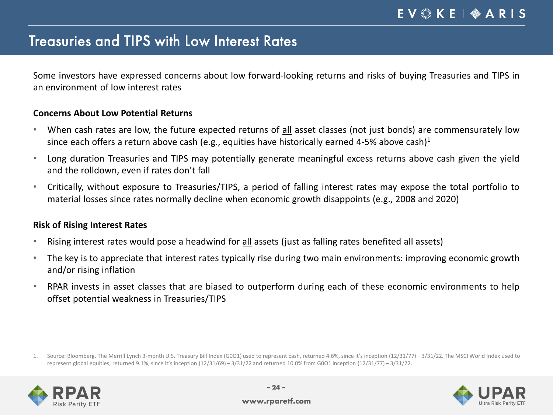### Treasuries and TIPS with Low Interest Rates

Some investors have expressed concerns about low forward-looking returns and risks of buying Treasuries and TIPS in an environment of low interest rates

#### **Concerns About Low Potential Returns**

- When cash rates are low, the future expected returns of all asset classes (not just bonds) are commensurately low since each offers a return above cash (e.g., equities have historically earned 4-5% above cash)<sup>1</sup>
- Long duration Treasuries and TIPS may potentially generate meaningful excess returns above cash given the yield and the rolldown, even if rates don't fall
- Critically, without exposure to Treasuries/TIPS, a period of falling interest rates may expose the total portfolio to material losses since rates normally decline when economic growth disappoints (e.g., 2008 and 2020)

#### **Risk of Rising Interest Rates**

- Rising interest rates would pose a headwind for all assets (just as falling rates benefited all assets)
- The key is to appreciate that interest rates typically rise during two main environments: improving economic growth and/or rising inflation
- RPAR invests in asset classes that are biased to outperform during each of these economic environments to help offset potential weakness in Treasuries/TIPS

<sup>1.</sup> Source: Bloomberg. The Merrill Lynch 3-month U.S. Treasury Bill Index (G0O1) used to represent cash, returned 4.6%, since it's inception (12/31/77) – 3/31/22. The MSCI World Index used to represent global equities, returned 9.1%, since it's inception (12/31/69) – 3/31/22 and returned 10.0% from G0O1 inception (12/31/77) – 3/31/22.



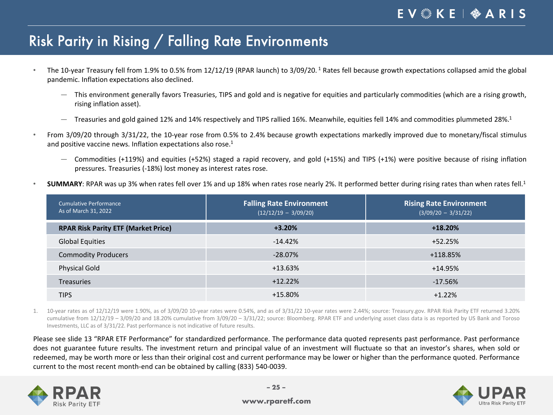# Risk Parity in Rising / Falling Rate Environments

- The 10-year Treasury fell from 1.9% to 0.5% from 12/12/19 (RPAR launch) to 3/09/20. <sup>1</sup> Rates fell because growth expectations collapsed amid the global pandemic. Inflation expectations also declined.
	- ― This environment generally favors Treasuries, TIPS and gold and is negative for equities and particularly commodities (which are a rising growth, rising inflation asset).
	- Treasuries and gold gained 12% and 14% respectively and TIPS rallied 16%. Meanwhile, equities fell 14% and commodities plummeted 28%.<sup>1</sup>
- From 3/09/20 through 3/31/22, the 10-year rose from 0.5% to 2.4% because growth expectations markedly improved due to monetary/fiscal stimulus and positive vaccine news. Inflation expectations also rose. 1
	- ― Commodities (+119%) and equities (+52%) staged a rapid recovery, and gold (+15%) and TIPS (+1%) were positive because of rising inflation pressures. Treasuries (-18%) lost money as interest rates rose.
- SUMMARY: RPAR was up 3% when rates fell over 1% and up 18% when rates rose nearly 2%. It performed better during rising rates than when rates fell.<sup>1</sup>

| Cumulative Performance<br>As of March 31, 2022 | <b>Falling Rate Environment</b><br>$(12/12/19 - 3/09/20)$ | <b>Rising Rate Environment</b><br>$(3/09/20 - 3/31/22)$ |
|------------------------------------------------|-----------------------------------------------------------|---------------------------------------------------------|
| <b>RPAR Risk Parity ETF (Market Price)</b>     | $+3.20%$                                                  | $+18.20%$                                               |
| <b>Global Equities</b>                         | $-14.42%$                                                 | $+52.25%$                                               |
| <b>Commodity Producers</b>                     | $-28.07%$                                                 | +118.85%                                                |
| <b>Physical Gold</b>                           | +13.63%                                                   | $+14.95%$                                               |
| <b>Treasuries</b>                              | $+12.22%$                                                 | $-17.56%$                                               |
| <b>TIPS</b>                                    | $+15.80%$                                                 | $+1.22%$                                                |

1. 10-year rates as of 12/12/19 were 1.90%, as of 3/09/20 10-year rates were 0.54%, and as of 3/31/22 10-year rates were 2.44%; source: Treasury.gov. RPAR Risk Parity ETF returned 3.20% cumulative from 12/12/19 – 3/09/20 and 18.20% cumulative from 3/09/20 – 3/31/22; source: Bloomberg. RPAR ETF and underlying asset class data is as reported by US Bank and Toroso Investments, LLC as of 3/31/22. Past performance is not indicative of future results.

Please see slide 13 "RPAR ETF Performance" for standardized performance. The performance data quoted represents past performance. Past performance does not guarantee future results. The investment return and principal value of an investment will fluctuate so that an investor's shares, when sold or redeemed, may be worth more or less than their original cost and current performance may be lower or higher than the performance quoted. Performance current to the most recent month-end can be obtained by calling (833) 540-0039.



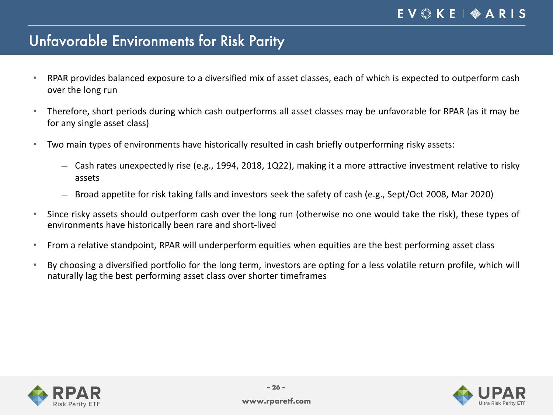### Unfavorable Environments for Risk Parity

- RPAR provides balanced exposure to a diversified mix of asset classes, each of which is expected to outperform cash over the long run
- Therefore, short periods during which cash outperforms all asset classes may be unfavorable for RPAR (as it may be for any single asset class)
- Two main types of environments have historically resulted in cash briefly outperforming risky assets:
	- ― Cash rates unexpectedly rise (e.g., 1994, 2018, 1Q22), making it a more attractive investment relative to risky assets
	- ― Broad appetite for risk taking falls and investors seek the safety of cash (e.g., Sept/Oct 2008, Mar 2020)
- Since risky assets should outperform cash over the long run (otherwise no one would take the risk), these types of environments have historically been rare and short-lived
- From a relative standpoint, RPAR will underperform equities when equities are the best performing asset class
- By choosing a diversified portfolio for the long term, investors are opting for a less volatile return profile, which will naturally lag the best performing asset class over shorter timeframes



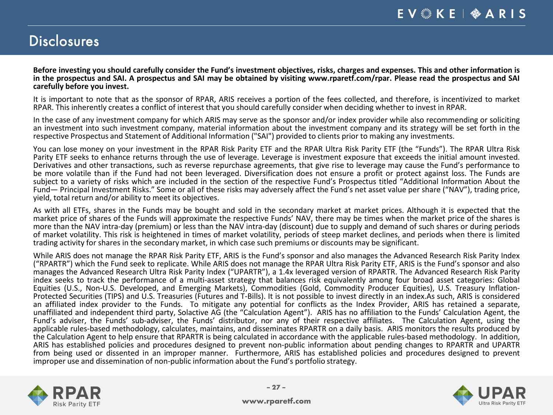#### **Disclosures**

Before investing you should carefully consider the Fund's investment objectives, risks, charges and expenses. This and other information is in the prospectus and SAI. A prospectus and SAI may be obtained by visiting www.rparetf.com/rpar. Please read the prospectus and SAI **carefully before you invest.**

It is important to note that as the sponsor of RPAR, ARIS receives a portion of the fees collected, and therefore, is incentivized to market RPAR. This inherently creates a conflict of interest that you should carefully consider when deciding whether to invest in RPAR.

In the case of any investment company for which ARIS may serve as the sponsor and/or index provider while also recommending or soliciting an investment into such investment company, material information about the investment company and its strategy will be set forth in the respective Prospectus and Statement of Additional Information ("SAI") provided to clients prior to making any investments.

You can lose money on your investment in the RPAR Risk Parity ETF and the RPAR Ultra Risk Parity ETF (the "Funds"). The RPAR Ultra Risk Parity ETF seeks to enhance returns through the use of leverage. Leverage is investmen Derivatives and other transactions, such as reverse repurchase agreements, that give rise to leverage may cause the Fund's performance to be more volatile than if the Fund had not been leveraged. Diversification does not ensure a profit or protect against loss. The Funds are subject to a variety of risks which are included in the section of the respective Fund's Prospectus titled "Additional Information About the Fund— Principal Investment Risks." Some or all of these risks may adversely affect the Fund's net asset value per share ("NAV"), trading price, yield, total return and/or ability to meet its objectives.

As with all ETFs, shares in the Funds may be bought and sold in the secondary market at market prices. Although it is expected that the market price of shares of the Funds will approximate the respective Funds' NAV, there may be times when the market price of the shares is more than the NAV intra-day (premium) or less than the NAV intra-day (discount) due to supply and demand of such shares or during periods of market volatility. This risk is heightened in times of market volatility, periods of steep market declines, and periods when there is limited trading activity for shares in the secondary market, in which case such premiums or discounts may be significant.

While ARIS does not manage the RPAR Risk Parity ETF, ARIS is the Fund's sponsor and also manages the Advanced Research Risk Parity Index ("RPARTR") which the Fund seek to replicate. While ARIS does not manage the RPAR Ultra Risk Parity ETF, ARIS is the Fund's sponsor and also manages the Advanced Research Ultra Risk Parity Index ("UPARTR"), a 1.4x leveraged version of RPARTR. The Advanced Research Risk Parity index seeks to track the performance of a multi-asset strategy that balances risk equivalently among four broad asset categories: Global<br>Equities (U.S., Non-U.S. Developed, and Emerging Markets), Commodities (Gold, Commodi Protected Securities (TIPS) and U.S. Treasuries (Futures and T-Bills). It is not possible to invest directly in an index.As such, ARIS is considered an affiliated index provider to the Funds. To mitigate any potential for conflicts as the Index Provider, ARIS has retained a separate, unaffiliated and independent third party, Solactive AG (the "Calculation Agent"). ARIS has no affiliation to the Funds' Calculation Agent, the Fund's adviser, the Funds' sub-adviser, the Funds' distributor, nor any of their respective affiliates. The Calculation Agent, using the applicable rules-based methodology, calculates, maintains, and disseminates RPARTR on a daily basis. ARIS monitors the results produced by the Calculation Agent to help ensure that RPARTR is being calculated in accordance with the applicable rules-based methodology. In addition, ARIS has established policies and procedures designed to prevent non-public information about pending changes to RPARTR and UPARTR from being used or dissented in an improper manner. Furthermore, ARIS has established policies and procedures designed to prevent improper use and dissemination of non-public information about the Fund's portfolio strategy.



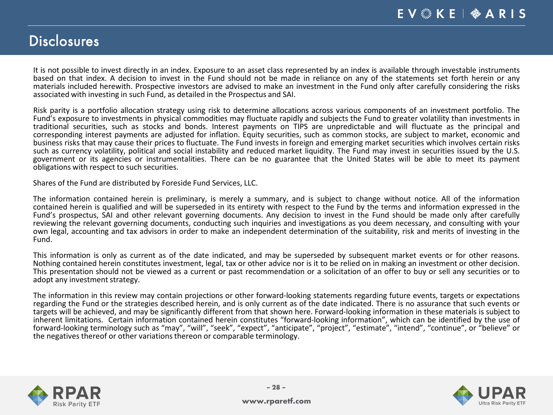#### **Disclosures**

It is not possible to invest directly in an index. Exposure to an asset class represented by an index is available through investable instruments based on that index. A decision to invest in the Fund should not be made in reliance on any of the statements set forth herein or any materials included herewith. Prospective investors are advised to make an investment in the Fund only after carefully considering the risks associated with investing in such Fund, as detailed in the Prospectus and SAI.

Risk parity is a portfolio allocation strategy using risk to determine allocations across various components of an investment portfolio. The Fund's exposure to investments in physical commodities may fluctuate rapidly and subjects the Fund to greater volatility than investments in traditional securities, such as stocks and bonds. Interest payments on TIPS are unpredictable and will fluctuate as the principal and corresponding interest payments are adjusted for inflation. Equity securities, such as common stocks, are subject to market, economic and business risks that may cause their prices to fluctuate. The Fund invests in foreign and emerging market securities which involves certain risks such as currency volatility, political and social instability and reduced mar government or its agencies or instrumentalities. There can be no guarantee that the United States will be able to meet its payment obligations with respect to such securities.

Shares of the Fund are distributed by Foreside Fund Services, LLC.

The information contained herein is preliminary, is merely a summary, and is subject to change without notice. All of the information contained herein is qualified and will be superseded in its entirety with respect to the Fund by the terms and information expressed in the Fund's prospectus, SAI and other relevant governing documents. Any decision to invest in the Fund should be made only after carefully reviewing the relevant governing documents, conducting such inquiries and investigations as you deem necessary, and consulting with your own legal, accounting and tax advisors in order to make an independent determination of the suitability, risk and merits of investing in the Fund.

This information is only as current as of the date indicated, and may be superseded by subsequent market events or for other reasons.<br>Nothing contained herein constitutes investment, legal, tax or other advice nor is it to adopt any investment strategy.

The information in this review may contain projections or other forward-looking statements regarding future events, targets or expectations regarding the Fund or the strategies described herein, and is only current as of the date indicated. There is no assurance that such events or targets will be achieved, and may be significantly different from that shown here. Forward-looking information in these materials is subject to inherent limitations. Certain information contained herein constitutes "forward-looking information", which can be identified by the use of forward-looking terminology such as "may", "will", "seek", "expect", "anticipate", "project", "estimate", "intend", "continue", or "believe" or the negatives thereof or other variations thereon or comparable terminology.

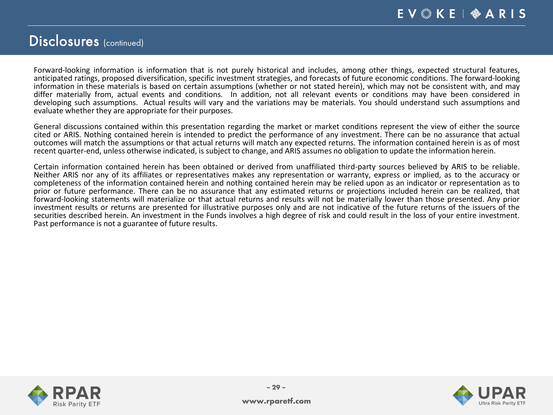#### Disclosures (continued)

Forward-looking information is information that is not purely historical and includes, among other things, expected structural features, anticipated ratings, proposed diversification, specific investment strategies, and forecasts of future economic conditions. The forward-looking information in these materials is based on certain assumptions (whether or not stated herein), which may not be consistent with, and may differ materially from, actual events and conditions. In addition, not all relevant events or conditions may have been considered in developing such assumptions. Actual results will vary and the variations may be materials. You should understand such assumptions and evaluate whether they are appropriate for their purposes.

General discussions contained within this presentation regarding the market or market conditions represent the view of either the source cited or ARIS. Nothing contained herein is intended to predict the performance of any investment. There can be no assurance that actual outcomes will match the assumptions or that actual returns will match any expected returns. The information contained herein is as of most recent quarter-end, unless otherwise indicated, is subject to change, and ARIS assumes no obligation to update the information herein.

Certain information contained herein has been obtained or derived from unaffiliated third-party sources believed by ARIS to be reliable.<br>Neither ARIS nor any of its affiliates or representatives makes any representation or completeness of the information contained herein and nothing contained herein may be relied upon as an indicator or representation as to prior or future performance. There can be no assurance that any estimated returns or projections included herein can be realized, that forward-looking statements will materialize or that actual returns and results will not be materially lower than those presented. Any prior investment results or returns are presented for illustrative purposes only and are not indicative of the future returns of the issuers of the securities described herein. An investment in the Funds involves a high degree of risk and could result in the loss of your entire investment.<br>Past performance is not a guarantee of future results.